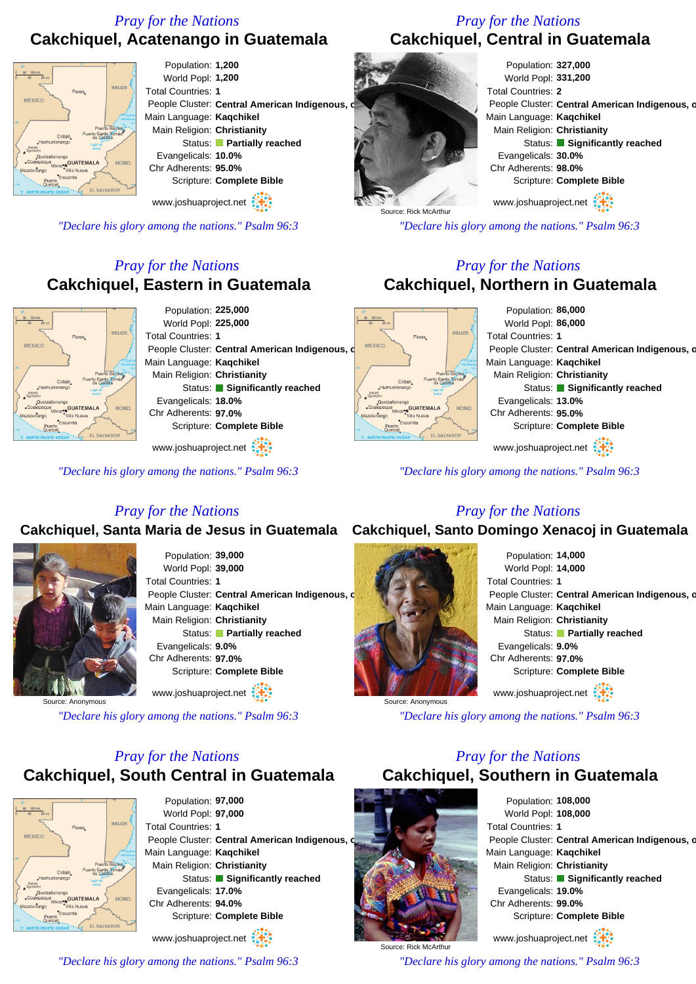## *Pray for the Nations* **Cakchiquel, Acatenango in Guatemala**



*"Declare his glory among the nations." Psalm 96:3*

## *Pray for the Nations* **Cakchiquel, Eastern in Guatemala**



Population: **225,000** World Popl: **225,000** Total Countries: **1** People Cluster: **Central American Indigenous, quality People Cluster** Main Language: **Kaqchikel** Main Religion: **Christianity** Status: **Significantly reached** Evangelicals: **18.0%** Chr Adherents: **97.0%** Scripture: **Complete Bible**

www.joshuaproject.net

*"Declare his glory among the nations." Psalm 96:3*

## *Pray for the Nations* **Cakchiquel, Central in Guatemala**



*"Declare his glory among the nations." Psalm 96:3*

#### *Pray for the Nations* **Cakchiquel, Northern in Guatemala**

Population: **86,000** World Popl: **86,000** Total Countries: **1** People Cluster: Central American Indigenous, o Main Language: **Kaqchikel** Main Religion: **Christianity** Status: **Significantly reached** Evangelicals: **13.0%** Chr Adherents: **95.0%** Scripture: **Complete Bible** www.joshuaproject.net

*"Declare his glory among the nations." Psalm 96:3*

#### *Pray for the Nations*

#### Cakchiquel, Santa Maria de Jesus in Guatemala Cakchiquel, Santo Domingo Xenacoj in Guatemala



Population: **39,000** World Popl: **39,000** Total Countries: **1** People Cluster: **Central American Indigenous, c** Main Language: **Kaqchikel** Main Religion: **Christianity** Status: **Partially reached** Evangelicals: **9.0%** Chr Adherents: **97.0%** Scripture: **Complete Bible** www.joshuaproject.net

Source: Anonymous

*"Declare his glory among the nations." Psalm 96:3*

## *Pray for the Nations* **Cakchiquel, South Central in Guatemala**



Population: **97,000** World Popl: **97,000** Total Countries: **1** People Cluster: Central American Indigenous, c Main Language: **Kaqchikel** Main Religion: **Christianity** Status: **Significantly reached** Evangelicals: **17.0%** Chr Adherents: **94.0%** Scripture: **Complete Bible** www.joshuaproject.net

*"Declare his glory among the nations." Psalm 96:3*



Source: Anonymous

。<br>. GUATEMALA

#### Main Language: **Kaqchikel** Main Religion: **Christianity** Status: **Partially reached** Evangelicals: **9.0%** Chr Adherents: **97.0%** Scripture: **Complete Bible** www.joshuaproject.net *"Declare his glory among the nations." Psalm 96:3*

People Cluster: Central American Indigenous, o

#### *Pray for the Nations* **Cakchiquel, Southern in Guatemala**



Source: Rick McArthur *"Declare his glory among the nations." Psalm 96:3*

## *Pray for the Nations*

Total Countries: **1**

Population: **14,000** World Popl: **14,000**